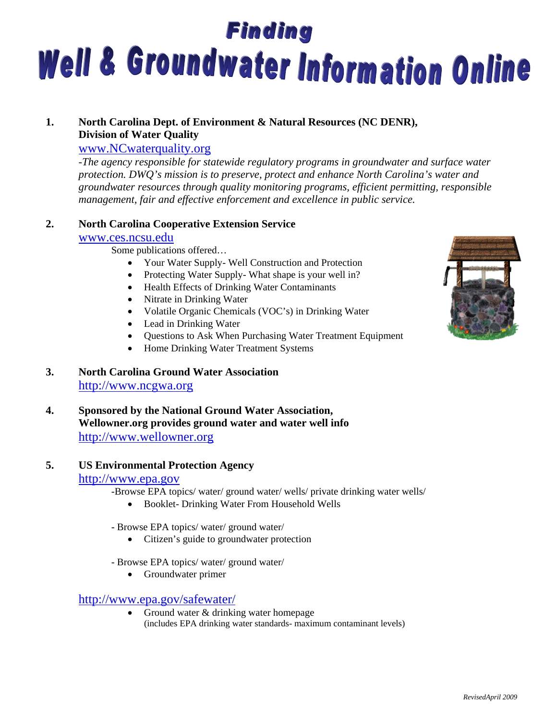# **Finding** Well & Groundwater Information Online

# **1. North Carolina Dept. of Environment & Natural Resources (NC DENR), Division of Water Quality**

# www.NCwaterquality.org

*-The agency responsible for statewide regulatory programs in groundwater and surface water protection. DWQ's mission is to preserve, protect and enhance North Carolina's water and groundwater resources through quality monitoring programs, efficient permitting, responsible management, fair and effective enforcement and excellence in public service.* 

# **2. North Carolina Cooperative Extension Service**

# www.ces.ncsu.edu

Some publications offered…

- Your Water Supply- Well Construction and Protection
- Protecting Water Supply- What shape is your well in?
- Health Effects of Drinking Water Contaminants
- Nitrate in Drinking Water
- Volatile Organic Chemicals (VOC's) in Drinking Water
- Lead in Drinking Water
- Questions to Ask When Purchasing Water Treatment Equipment
- Home Drinking Water Treatment Systems

# **3. North Carolina Ground Water Association**

http://www.ncgwa.org

**4. Sponsored by the National Ground Water Association, Wellowner.org provides ground water and water well info**  http://www.wellowner.org

# **5. US Environmental Protection Agency**

- http://www.epa.gov<br>-Browse EPA topics/ water/ ground water/ wells/ private drinking water wells/
	- Booklet- Drinking Water From Household Wells
	- Browse EPA topics/ water/ ground water/
		- Citizen's guide to groundwater protection
	- Browse EPA topics/ water/ ground water/
		- Groundwater primer

# http://www.epa.gov/safewater/

• Ground water & drinking water homepage (includes EPA drinking water standards- maximum contaminant levels)